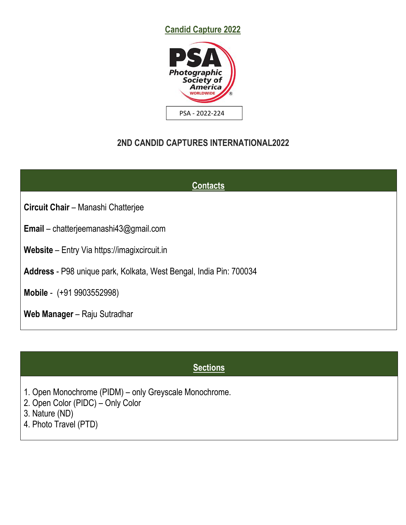



## **2ND CANDID CAPTURES INTERNATIONAL2022**

| <b>Contacts</b>                                                    |
|--------------------------------------------------------------------|
| Circuit Chair - Manashi Chatterjee                                 |
| <b>Email</b> – chatterjeemanashi43@gmail.com                       |
| <b>Website</b> – Entry Via https://imagixcircuit.in                |
| Address - P98 unique park, Kolkata, West Bengal, India Pin: 700034 |
| Mobile - (+91 9903552998)                                          |
| Web Manager - Raju Sutradhar                                       |

## **Sections**

- 1. Open Monochrome (PIDM) only Greyscale Monochrome.
- 2. Open Color (PIDC) Only Color
- 3. Nature (ND)
- 4. Photo Travel (PTD)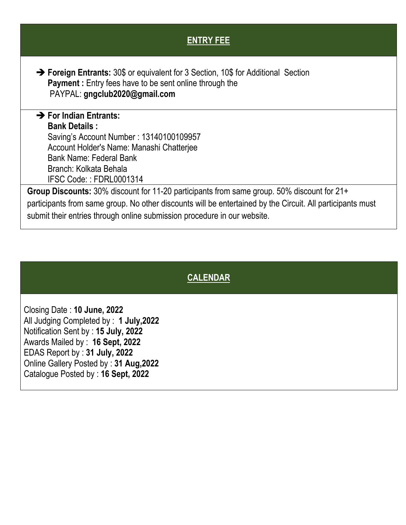| <b>ENTRY FEE</b>                                                                                                                                                                                |
|-------------------------------------------------------------------------------------------------------------------------------------------------------------------------------------------------|
| $\rightarrow$ Foreign Entrants: 30\$ or equivalent for 3 Section, 10\$ for Additional Section<br><b>Payment:</b> Entry fees have to be sent online through the<br>PAYPAL: gngclub2020@gmail.com |
| $\rightarrow$ For Indian Entrants:                                                                                                                                                              |
| <b>Bank Details:</b>                                                                                                                                                                            |
| Saving's Account Number: 13140100109957                                                                                                                                                         |
| Account Holder's Name: Manashi Chatterjee                                                                                                                                                       |
| Bank Name: Federal Bank                                                                                                                                                                         |
| Branch: Kolkata Behala                                                                                                                                                                          |
| IFSC Code:: FDRL0001314                                                                                                                                                                         |
| Group Discounts: 30% discount for 11-20 participants from same group. 50% discount for 21+                                                                                                      |
| participants from same group. No other discounts will be entertained by the Circuit. All participants must                                                                                      |
| submit their entries through online submission procedure in our website.                                                                                                                        |
|                                                                                                                                                                                                 |

# **CALENDAR**

Closing Date : **10 June, 2022** All Judging Completed by : **1 July,2022** Notification Sent by : **15 July, 2022** Awards Mailed by : **16 Sept, 2022** EDAS Report by : **31 July, 2022** Online Gallery Posted by : **31 Aug,2022** Catalogue Posted by :**16 Sept, 2022**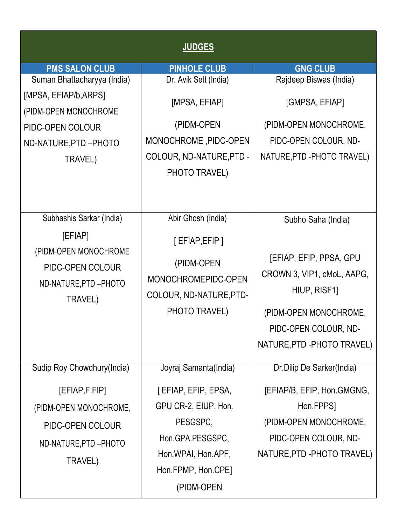|                                                                                                                                      | <b>JUDGES</b>                                                                                                                                                  |                                                                                                                                                                               |
|--------------------------------------------------------------------------------------------------------------------------------------|----------------------------------------------------------------------------------------------------------------------------------------------------------------|-------------------------------------------------------------------------------------------------------------------------------------------------------------------------------|
| <b>PMS SALON CLUB</b>                                                                                                                | <b>PINHOLE CLUB</b>                                                                                                                                            | <b>GNG CLUB</b>                                                                                                                                                               |
| Suman Bhattacharyya (India)<br>[MPSA, EFIAP/b, ARPS]<br>(PIDM-OPEN MONOCHROME<br>PIDC-OPEN COLOUR<br>ND-NATURE, PTD-PHOTO<br>TRAVEL) | Dr. Avik Sett (India)<br>[MPSA, EFIAP]<br>(PIDM-OPEN<br>MONOCHROME, PIDC-OPEN<br>COLOUR, ND-NATURE, PTD -<br>PHOTO TRAVEL)                                     | Rajdeep Biswas (India)<br>[GMPSA, EFIAP]<br>(PIDM-OPEN MONOCHROME,<br>PIDC-OPEN COLOUR, ND-<br>NATURE, PTD - PHOTO TRAVEL)                                                    |
| Subhashis Sarkar (India)<br>[EFIAP]<br>(PIDM-OPEN MONOCHROME<br>PIDC-OPEN COLOUR<br>ND-NATURE, PTD - PHOTO<br>TRAVEL)                | Abir Ghosh (India)<br>[EFIAP, EFIP]<br>(PIDM-OPEN<br>MONOCHROMEPIDC-OPEN<br>COLOUR, ND-NATURE, PTD-<br>PHOTO TRAVEL)                                           | Subho Saha (India)<br>[EFIAP, EFIP, PPSA, GPU<br>CROWN 3, VIP1, cMoL, AAPG,<br>HIUP, RISF1]<br>(PIDM-OPEN MONOCHROME,<br>PIDC-OPEN COLOUR, ND-<br>NATURE, PTD - PHOTO TRAVEL) |
| Sudip Roy Chowdhury(India)<br>[EFIAP, F.FIP]<br>(PIDM-OPEN MONOCHROME,<br>PIDC-OPEN COLOUR<br>ND-NATURE, PTD - PHOTO<br>TRAVEL)      | Joyraj Samanta(India)<br>[EFIAP, EFIP, EPSA,<br>GPU CR-2, EIUP, Hon.<br>PESGSPC,<br>Hon.GPA.PESGSPC,<br>Hon.WPAI, Hon.APF,<br>Hon.FPMP, Hon.CPE]<br>(PIDM-OPEN | Dr.Dilip De Sarker(India)<br>[EFIAP/B, EFIP, Hon.GMGNG,<br>Hon.FPPS]<br>(PIDM-OPEN MONOCHROME,<br>PIDC-OPEN COLOUR, ND-<br>NATURE, PTD - PHOTO TRAVEL)                        |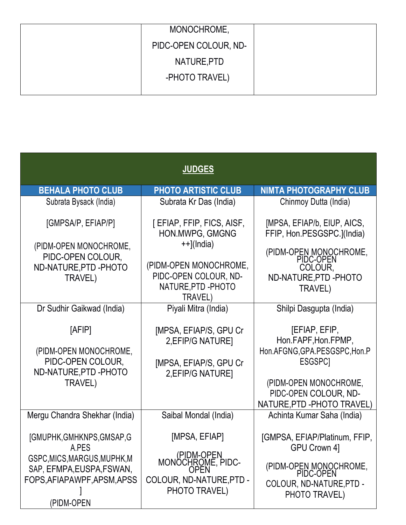| MONOCHROME,           |  |
|-----------------------|--|
| PIDC-OPEN COLOUR, ND- |  |
| NATURE, PTD           |  |
| -PHOTO TRAVEL)        |  |
|                       |  |

|                                                                     | <b>JUDGES</b>                                                  |                                                                                |
|---------------------------------------------------------------------|----------------------------------------------------------------|--------------------------------------------------------------------------------|
| <b>BEHALA PHOTO CLUB</b>                                            | <b>PHOTO ARTISTIC CLUB</b>                                     | <b>NIMTA PHOTOGRAPHY CLUB</b>                                                  |
| Subrata Bysack (India)                                              | Subrata Kr Das (India)                                         | Chinmoy Dutta (India)                                                          |
| [GMPSA/P, EFIAP/P]                                                  | [ EFIAP, FFIP, FICS, AISF,<br>HON.MWPG, GMGNG<br>$++$ ](India) | [MPSA, EFIAP/b, EIUP, AICS,<br>FFIP, Hon.PESGSPC.](India)                      |
| (PIDM-OPEN MONOCHROME,<br>PIDC-OPEN COLOUR,<br>ND-NATURE, PTD-PHOTO | (PIDM-OPEN MONOCHROME,                                         | (PIDM-OPEN MONOCHROME,<br>PIDC-OPEN<br>COLOUR,                                 |
| TRAVEL)                                                             | PIDC-OPEN COLOUR, ND-<br>NATURE, PTD - PHOTO<br>TRAVEL)        | ND-NATURE, PTD-PHOTO<br>TRAVEL)                                                |
| Dr Sudhir Gaikwad (India)                                           | Piyali Mitra (India)                                           | Shilpi Dasgupta (India)                                                        |
| [AFIP]                                                              | [MPSA, EFIAP/S, GPU Cr<br>2, EFIP/G NATURE]                    | [EFIAP, EFIP,<br>Hon.FAPF, Hon.FPMP,                                           |
| (PIDM-OPEN MONOCHROME,                                              |                                                                | Hon.AFGNG, GPA.PESGSPC, Hon.P                                                  |
| PIDC-OPEN COLOUR,<br>ND-NATURE, PTD-PHOTO                           | [MPSA, EFIAP/S, GPU Cr<br>2, EFIP/G NATURE]                    | ESGSPC <sub>1</sub>                                                            |
| TRAVEL)                                                             |                                                                | (PIDM-OPEN MONOCHROME,<br>PIDC-OPEN COLOUR, ND-<br>NATURE, PTD - PHOTO TRAVEL) |
| Mergu Chandra Shekhar (India)                                       | Saibal Mondal (India)                                          | Achinta Kumar Saha (India)                                                     |
| [GMUPHK,GMHKNPS,GMSAP,G<br>A.PES                                    | [MPSA, EFIAP]                                                  | [GMPSA, EFIAP/Platinum, FFIP,<br>GPU Crown 4]                                  |
| GSPC, MICS, MARGUS, MUPHK, M<br>SAP, EFMPA, EUSPA, FSWAN,           | (PIDM-OPEN<br>MONÖCHROME, PIDC-<br>OPEN                        | (PIDM-OPEN MONOCHROME,<br>PIDC-OPEN                                            |
| FOPS, AFIAPAWPF, APSM, APSS<br>(PIDM-OPEN                           | COLOUR, ND-NATURE, PTD -<br>PHOTO TRAVEL)                      | COLOUR, ND-NATURE, PTD -<br>PHOTO TRAVEL)                                      |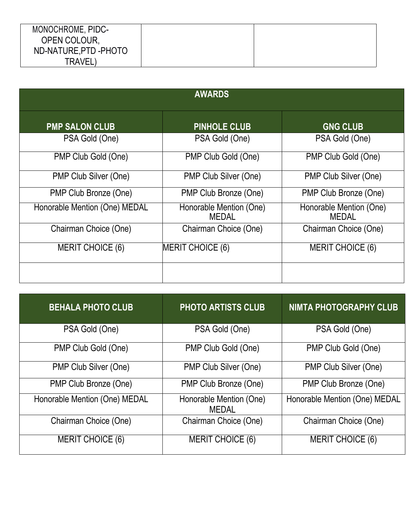| MONOCHROME, PIDC-    |  |
|----------------------|--|
| OPEN COLOUR,         |  |
| ND-NATURE, PTD-PHOTO |  |
| TRAVEL,              |  |

|                               | <b>AWARDS</b>                           |                                         |
|-------------------------------|-----------------------------------------|-----------------------------------------|
| <b>PMP SALON CLUB</b>         | <b>PINHOLE CLUB</b>                     | <b>GNG CLUB</b>                         |
| PSA Gold (One)                | PSA Gold (One)                          | PSA Gold (One)                          |
| PMP Club Gold (One)           | PMP Club Gold (One)                     | PMP Club Gold (One)                     |
| PMP Club Silver (One)         | PMP Club Silver (One)                   | PMP Club Silver (One)                   |
| PMP Club Bronze (One)         | PMP Club Bronze (One)                   | PMP Club Bronze (One)                   |
| Honorable Mention (One) MEDAL | Honorable Mention (One)<br><b>MEDAL</b> | Honorable Mention (One)<br><b>MEDAL</b> |
| Chairman Choice (One)         | Chairman Choice (One)                   | Chairman Choice (One)                   |
| <b>MERIT CHOICE (6)</b>       | MERIT CHOICE (6)                        | <b>MERIT CHOICE (6)</b>                 |
|                               |                                         |                                         |
|                               |                                         |                                         |

| <b>BEHALA PHOTO CLUB</b>      | <b>PHOTO ARTISTS CLUB</b>               | <b>NIMTA PHOTOGRAPHY CLUB</b> |
|-------------------------------|-----------------------------------------|-------------------------------|
| PSA Gold (One)                | PSA Gold (One)                          | PSA Gold (One)                |
| PMP Club Gold (One)           | PMP Club Gold (One)                     | PMP Club Gold (One)           |
| PMP Club Silver (One)         | PMP Club Silver (One)                   | PMP Club Silver (One)         |
| PMP Club Bronze (One)         | PMP Club Bronze (One)                   | PMP Club Bronze (One)         |
| Honorable Mention (One) MEDAL | Honorable Mention (One)<br><b>MEDAL</b> | Honorable Mention (One) MEDAL |
| Chairman Choice (One)         | Chairman Choice (One)                   | Chairman Choice (One)         |
| <b>MERIT CHOICE (6)</b>       | <b>MERIT CHOICE (6)</b>                 | <b>MERIT CHOICE (6)</b>       |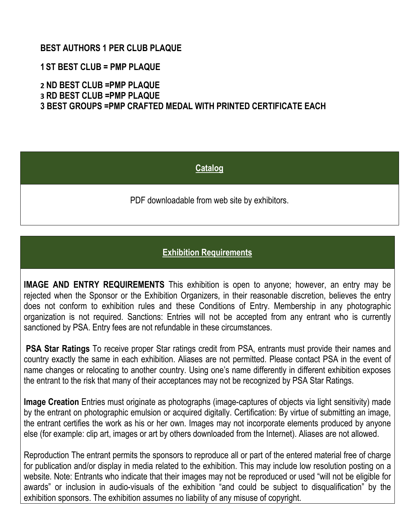#### **BEST AUTHORS 1 PER CLUB PLAQUE**

- **1 ST BEST CLUB = PMP PLAQUE**
- **2 ND BEST CLUB =PMP PLAQUE**
- **3 RD BEST CLUB =PMP PLAQUE**

**3 BEST GROUPS =PMP CRAFTED MEDAL WITH PRINTED CERTIFICATE EACH**

#### **Catalog**

PDF downloadable from web site by exhibitors.

#### **Exhibition Requirements**

**IMAGE AND ENTRY REQUIREMENTS** This exhibition is open to anyone; however, an entry may be rejected when the Sponsor or the Exhibition Organizers, in their reasonable discretion, believes the entry does not conform to exhibition rules and these Conditions of Entry. Membership in any photographic organization is not required. Sanctions: Entries will not be accepted from any entrant who is currently sanctioned by PSA. Entry fees are not refundable in these circumstances.

**PSA Star Ratings** To receive proper Star ratings credit from PSA, entrants must provide their names and country exactly the same in each exhibition. Aliases are not permitted. Please contact PSA in the event of name changes or relocating to another country. Using one's name differently in different exhibition exposes the entrant to the risk that many of their acceptances may not be recognized by PSA Star Ratings.

**Image Creation** Entries must originate as photographs (image-captures of objects via light sensitivity) made by the entrant on photographic emulsion or acquired digitally. Certification: By virtue of submitting an image, the entrant certifies the work as his or her own. Images may not incorporate elements produced by anyone else (for example: clip art, images or art by others downloaded from the Internet). Aliases are not allowed.

Reproduction The entrant permits the sponsors to reproduce all or part of the entered material free of charge for publication and/or display in media related to the exhibition. This may include low resolution posting on a website. Note: Entrants who indicate that their images may not be reproduced or used "will not be eligible for awards" or inclusion in audio-visuals of the exhibition "and could be subject to disqualification" by the exhibition sponsors. The exhibition assumes no liability of any misuse of copyright.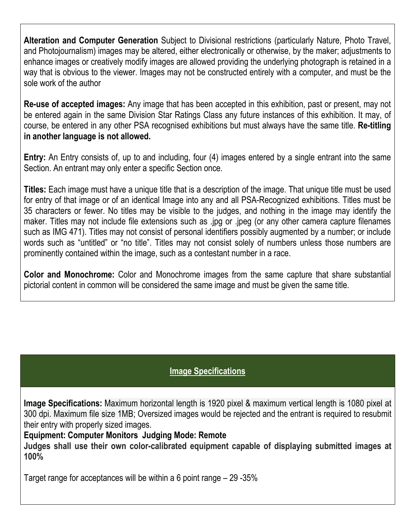**Alteration and Computer Generation** Subject to Divisional restrictions (particularly Nature, Photo Travel, and Photojournalism) images may be altered, either electronically or otherwise, by the maker; adjustments to enhance images or creatively modify images are allowed providing the underlying photograph is retained in a way that is obvious to the viewer. Images may not be constructed entirely with a computer, and must be the sole work of the author

**Re-use of accepted images:** Any image that has been accepted in this exhibition, past or present, may not be entered again in the same Division Star Ratings Class any future instances of this exhibition. It may, of course, be entered in any other PSA recognised exhibitions but mustalways have the same title. **Re-titling in another language is not allowed.**

**Entry:** An Entry consists of, up to and including, four (4) images entered by a single entrant into the same Section. An entrant may only enter a specific Section once.

**Titles:** Each image must have a unique title that is a description of the image. That unique title must be used for entry of that image or of an identical Image into any and all PSA-Recognized exhibitions. Titles must be 35 characters or fewer. No titles may be visible to the judges, and nothing in the image may identify the maker. Titles may not include file extensions such as .jpg or .jpeg (or any other camera capture filenames such as IMG 471). Titles may not consist of personal identifiers possibly augmented by a number; or include words such as "untitled" or "no title". Titles may not consist solely of numbers unless those numbers are prominently contained within the image, such as a contestant number in a race.

**Color and Monochrome:** Color and Monochrome images from the same capture that share substantial pictorial content in common will be considered the same image and must be given the same title.

### **Image Specifications**

**Image Specifications:** Maximum horizontal length is 1920 pixel & maximum vertical length is 1080 pixel at 300 dpi. Maximum file size 1MB; Oversized images would be rejected and the entrant is required to resubmit their entry with properly sized images.

**Equipment: Computer Monitors Judging Mode: Remote**

**Judges shall use their own color-calibrated equipment capable of displaying submitted images at 100%**

Target range for acceptances will be within a 6 point range – 29 -35%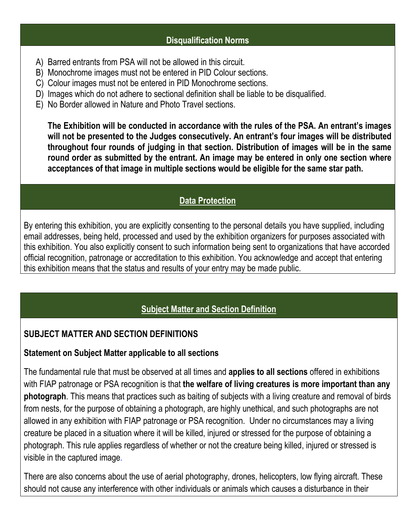### **Disqualification Norms**

- A) Barred entrants from PSA will not be allowed in this circuit.
- B) Monochrome images must not be entered in PID Colour sections.
- C) Colour images must not be entered in PID Monochrome sections.
- D) Images which do not adhere to sectional definition shall be liable to be disqualified.
- E) No Border allowed in Nature and Photo Travel sections.

**The Exhibition will be conducted in accordance with the rules of the PSA. An entrant's images will not be presented to the Judges consecutively. An entrant's four images will be distributed throughout four rounds of judging in that section. Distribution of images will be in the same round order as submitted by the entrant. An image may be entered in only one section where acceptances of that image in multiple sections would be eligible for the same star path.**

## **Data Protection**

By entering this exhibition, you are explicitly consenting to the personal details you have supplied, including email addresses, being held, processed and used by the exhibition organizers for purposes associated with this exhibition. You also explicitly consent to such information being sent to organizations that have accorded official recognition, patronage or accreditation to this exhibition. You acknowledge and accept that entering this exhibition means that the status and results of your entry may be made public.

# **Subject Matter and Section Definition**

## **SUBJECT MATTER AND SECTION DEFINITIONS**

### **Statement on Subject Matter applicable to all sections**

The fundamental rule that must be observed at all times and **applies to all sections** offered in exhibitions with FIAP patronage or PSA recognition is that **the welfare of living creatures is more important than any photograph**. This means that practices such as baiting of subjects with a living creature and removal of birds from nests, for the purpose of obtaining a photograph, are highly unethical, and such photographs are not allowed in any exhibition with FIAP patronage or PSA recognition. Under no circumstances may a living creature be placed in a situation where it will be killed, injured or stressed for the purpose of obtaining a photograph. This rule applies regardless of whether or not the creature being killed, injured or stressed is visible in the captured image.

There are also concerns about the use of aerial photography, drones, helicopters, low flying aircraft. These should not cause any interference with other individuals or animals which causes a disturbance in their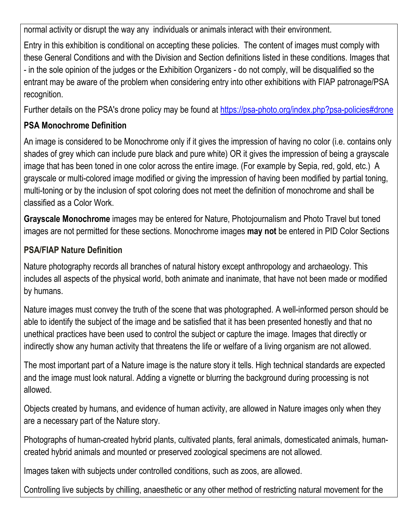normal activity or disrupt the way any individuals or animals interact with their environment.

Entry in this exhibition is conditional on accepting these policies. The content of images must comply with these General Conditions and with the Division and Section definitions listed in these conditions. Images that - in the sole opinion of the judges or the Exhibition Organizers - do not comply, will be disqualified so the entrant may be aware of the problem when considering entry into other exhibitions with FIAP patronage/PSA recognition.

Further details on the PSA's drone policy may be found at [https://psa-photo.org/index.php?psa-policies#drone](https://psa-photo.org/index.php?psa-policies%23drone)

# **PSA Monochrome Definition**

An image is considered to be Monochrome only if it gives the impression of having no color (i.e. contains only shades of grey which can include pure black and pure white) OR it gives the impression of being a grayscale image that has been toned in one color across the entire image. (For example by Sepia, red, gold, etc.) A grayscale or multi-colored image modified or giving the impression of having been modified by partial toning, multi-toning or by the inclusion of spot coloring does not meet the definition of monochrome and shall be classified as a Color Work.

**Grayscale Monochrome** images may be entered for Nature, Photojournalism and Photo Travel but toned images are not permitted for these sections. Monochrome images **may not** be entered in PID Color Sections

# **PSA/FIAP Nature Definition**

Nature photography records all branches of natural history except anthropology and archaeology. This includes all aspects of the physical world, both animate and inanimate, that have not been made or modified by humans.

Nature images must convey the truth of the scene that was photographed. A well-informed person should be able to identify the subject of the image and be satisfied that it has been presented honestly and that no unethical practices have been used to control the subject or capture the image. Images that directly or indirectly show any human activity that threatens the life or welfare of a living organism are not allowed.

The most important part of a Nature image is the nature story it tells. High technical standards are expected and the image must look natural. Adding a vignette or blurring the background during processing is not allowed.

Objects created by humans, and evidence of human activity, are allowed in Nature images only when they are a necessary part of the Nature story.

Photographs of human-created hybrid plants, cultivated plants, feral animals, domesticated animals, human created hybrid animals and mounted or preserved zoological specimens are not allowed.

Images taken with subjects under controlled conditions, such as zoos, are allowed.

Controlling live subjects by chilling, anaesthetic or any other method of restricting natural movement for the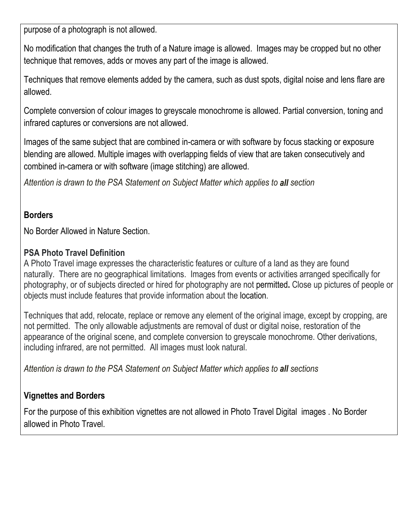purpose of a photograph is not allowed.

No modification that changes the truth of a Nature image is allowed. Images may be cropped but no other technique that removes, adds or moves any part of the image is allowed.

Techniques that remove elements added by the camera, such as dust spots, digital noise and lens flare are allowed.

Complete conversion of colour images to greyscale monochrome is allowed. Partial conversion, toning and infrared captures or conversions are not allowed.

Images of the same subject that are combined in-camera or with software by focus stacking or exposure blending are allowed. Multiple images with overlapping fields of view that are taken consecutively and combined in-camera or with software (image stitching) are allowed.

*Attention is drawn to the PSA Statement on Subject Matter which applies to all section*

#### **Borders**

No Border Allowed in Nature Section.

### **PSA Photo Travel Definition**

A Photo Travel image expresses the characteristic features or culture of a land as they are found naturally. There are no geographical limitations. Images from events or activities arranged specifically for photography, or of subjects directed or hired for photography are not permitted**.** Close up pictures of people or objects must include features that provide information about the location.

Techniques that add, relocate, replace or remove any element of the original image, except by cropping, are not permitted. The only allowable adjustments are removal of dust or digital noise, restoration of the appearance of the original scene, and complete conversion to greyscale monochrome. Other derivations, including infrared, are not permitted. All images must look natural.

*Attention is drawn to the PSA Statement on Subject Matter which applies to all sections*

## **Vignettes and Borders**

For the purpose of this exhibition vignettes are not allowed in Photo Travel Digital images . No Border allowed in Photo Travel.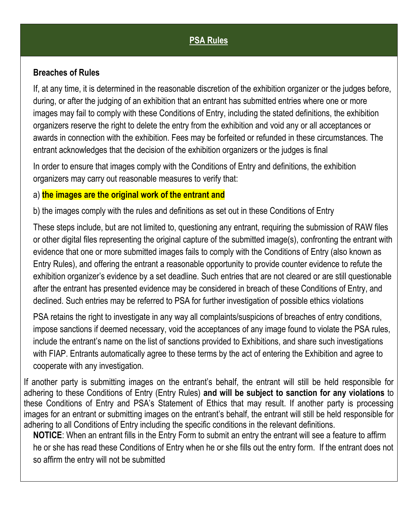## **PSA Rules**

#### **Breaches of Rules**

If, at any time, it is determined in the reasonable discretion of the exhibition organizer or the judges before, during, or after the judging of an exhibition that an entrant has submitted entries where one or more images may fail to comply with these Conditions of Entry, including the stated definitions, the exhibition organizers reserve the right to delete the entry from the exhibition and void any or all acceptances or awards in connection with the exhibition. Fees may be forfeited or refunded in these circumstances. The entrant acknowledges that the decision of the exhibition organizers or the judges is final

In order to ensure that images comply with the Conditions of Entry and definitions, the exhibition organizers may carry out reasonable measures to verify that:

#### a) **the images are the original work of the entrant and**

b) the images comply with the rules and definitions as set out in these Conditions of Entry

These steps include, but are not limited to, questioning any entrant, requiring the submission of RAW files or other digital files representing the original capture of the submitted image(s), confronting the entrant with evidence that one or more submitted images fails to comply with the Conditions of Entry (also known as Entry Rules), and offering the entrant a reasonable opportunity to provide counter evidence to refute the exhibition organizer's evidence by a set deadline. Such entries that are not cleared or are still questionable after the entrant has presented evidence may be considered in breach of these Conditions of Entry, and declined. Such entries may be referred to PSA for further investigation of possible ethics violations

PSA retains the right to investigate in any way all complaints/suspicions of breaches of entry conditions, impose sanctions if deemed necessary, void the acceptances of any image found to violate the PSA rules, include the entrant's name on the list of sanctions provided to Exhibitions, and share such investigations with FIAP. Entrants automatically agree to these terms by the act of entering the Exhibition and agree to cooperate with any investigation.

If another party is submitting images on the entrant's behalf, the entrant will still be held responsible for adhering to these Conditions of Entry (Entry Rules)**and will be subject to sanction for any violations** to these Conditions of Entry and PSA's Statement of Ethics that may result. If another party is processing images for an entrant or submitting images on the entrant's behalf, the entrant will still be held responsible for adhering to all Conditions of Entry including the specific conditions in the relevant definitions.

**NOTICE**: When an entrant fills in the Entry Form to submit an entry the entrant will see a feature to affirm he or she has read these Conditions of Entry when he or she fills out the entry form. If the entrant does not so affirm the entry will not be submitted